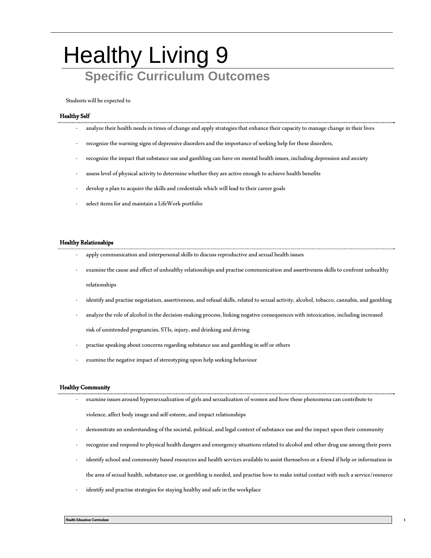## **Healthy Living 9 Specific Curriculum Outcomes**

Students will be expected to

## Healthy Self

- · analyze their health needs in times of change and apply strategies that enhance their capacity to manage change in their lives
- · recognize the warning signs of depressive disorders and the importance of seeking help for these disorders,
- recognize the impact that substance use and gambling can have on mental health issues, including depression and anxiety
- assess level of physical activity to determine whether they are active enough to achieve health benefits
- develop a plan to acquire the skills and credentials which will lead to their career goals
- select items for and maintain a LifeWork portfolio

## Healthy Relationships

- apply communication and interpersonal skills to discuss reproductive and sexual health issues
- · examine the cause and effect of unhealthy relationships and practise communication and assertiveness skills to confront unhealthy relationships
- · identify and practise negotiation, assertiveness, and refusal skills, related to sexual activity, alcohol, tobacco, cannabis, and gambling
- analyze the role of alcohol in the decision-making process, linking negative consequences with intoxication, including increased risk of unintended pregnancies, STIs, injury, and drinking and driving
- practise speaking about concerns regarding substance use and gambling in self or others
- examine the negative impact of stereotyping upon help seeking behaviour

## Healthy Community

· examine issues around hypersexualization of girls and sexualization of women and how these phenomena can contribute to

violence, affect body image and self-esteem, and impact relationships

- · demonstrate an understanding of the societal, political, and legal context of substance use and the impact upon their community
- · recognize and respond to physical health dangers and emergency situations related to alcohol and other drug use among their peers

- · identify school and community based resources and health services available to assist themselves or a friend if help or information in the area of sexual health, substance use, or gambling is needed, and practise how to make initial contact with such a service/resource
- identify and practise strategies for staying healthy and safe in the workplace